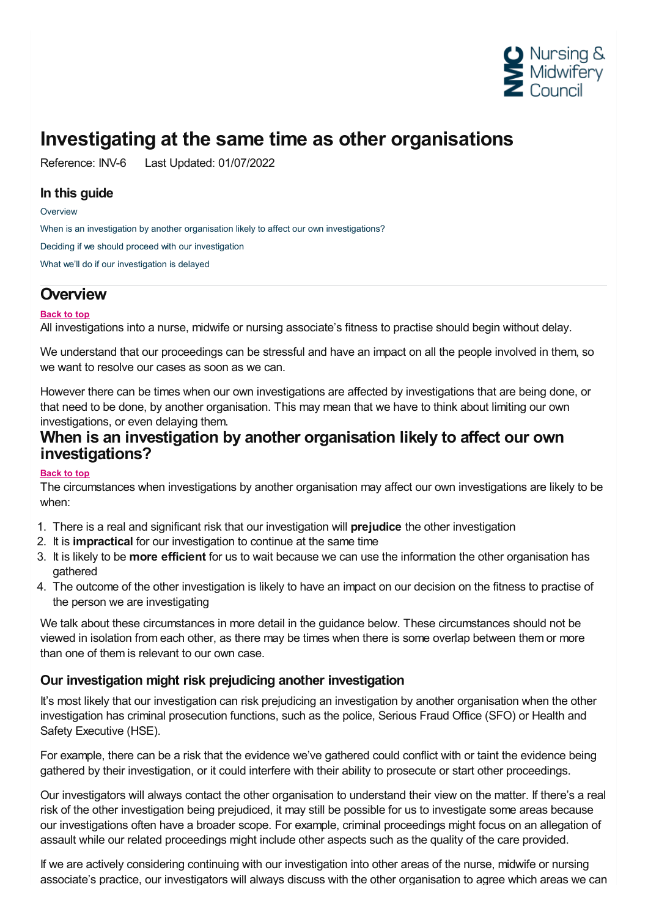

# **Investigating at the same time as other organisations**

Reference: INV-6 Last Updated: 01/07/2022

### **In this guide**

#### **[Overview](#page-0-0)**

When is an investigation by another organisation likely to affect our own [investigations?](#page-0-1)

Deciding if we should proceed with our [investigation](#page-1-0)

What we'll do if our [investigation](#page-2-0) is delayed

# <span id="page-0-0"></span>**Overview**

#### **Back to top**

All investigations into a nurse, midwife or nursing associate's fitness to practise should begin without delay.

We understand that our proceedings can be stressful and have an impact on all the people involved in them, so we want to resolve our cases as soon as we can.

However there can be times when our own investigations are affected by investigations that are being done, or that need to be done, by another organisation. This may mean that we have to think about limiting our own

# <span id="page-0-1"></span>investigations, or even delaying them. **When is an investigation by another organisation likely to affect our own investigations?**

#### **Back to top**

The circumstances when investigations by another organisation may affect our own investigations are likely to be when:

- 1. There is a real and significant risk that our investigation will **prejudice** the other investigation
- 2. It is **impractical** for our investigation to continue at the same time
- 3. It is likely to be **more efficient** for us to wait because we can use the information the other organisation has gathered
- 4. The outcome of the other investigation is likely to have an impact on our decision on the fitness to practise of the person we are investigating

We talk about these circumstances in more detail in the guidance below. These circumstances should not be viewed in isolation from each other, as there may be times when there is some overlap between them or more than one of them is relevant to our own case.

### **Our investigation might risk prejudicing another investigation**

It's most likely that our investigation can risk prejudicing an investigation by another organisation when the other investigation has criminal prosecution functions, such as the police, Serious Fraud Office (SFO) or Health and Safety Executive (HSE).

For example, there can be a risk that the evidence we've gathered could conflict with or taint the evidence being gathered by their investigation, or it could interfere with their ability to prosecute or start other proceedings.

Our investigators will always contact the other organisation to understand their view on the matter. If there's a real risk of the other investigation being prejudiced, it may still be possible for us to investigate some areas because our investigations often have a broader scope. For example, criminal proceedings might focus on an allegation of assault while our related proceedings might include other aspects such as the quality of the care provided.

If we are actively considering continuing with our investigation into other areas of the nurse, midwife or nursing associate's practice, our investigators will always discuss with the other organisation to agree which areas we can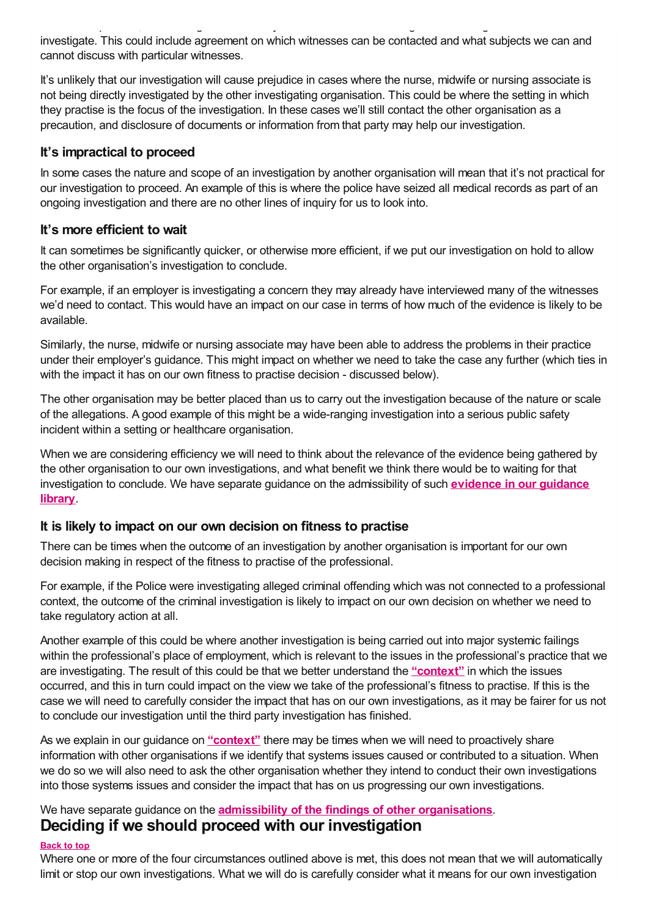associate's practice, our investigators will always discuss with the other organisation to agree which areas we can investigate. This could include agreement on which witnesses can be contacted and what subjects we can and cannot discuss with particular witnesses.

It's unlikely that our investigation will cause prejudice in cases where the nurse, midwife or nursing associate is not being directly investigated by the other investigating organisation. This could be where the setting in which they practise is the focus of the investigation. In these cases we'll still contact the other organisation as a precaution, and disclosure of documents or information from that party may help our investigation.

## **It's impractical to proceed**

In some cases the nature and scope of an investigation by another organisation will mean that it's not practical for our investigation to proceed. An example of this is where the police have seized all medical records as part of an ongoing investigation and there are no other lines of inquiry for us to look into.

# **It's more efficient to wait**

It can sometimes be significantly quicker, or otherwise more efficient, if we put our investigation on hold to allow the other organisation's investigation to conclude.

For example, if an employer is investigating a concern they may already have interviewed many of the witnesses we'd need to contact. This would have an impact on our case in terms of how much of the evidence is likely to be available.

Similarly, the nurse, midwife or nursing associate may have been able to address the problems in their practice under their employer's guidance. This might impact on whether we need to take the case any further (which ties in with the impact it has on our own fitness to practise decision - discussed below).

The other organisation may be better placed than us to carry out the investigation because of the nature or scale of the allegations. A good example of this might be a wide-ranging investigation into a serious public safety incident within a setting or healthcare organisation.

When we are considering efficiency we will need to think about the relevance of the evidence being gathered by the other organisation to our own investigations, and what benefit we think there would be to waiting for that [investigation](https://www.nmc.org.uk/ftp-library/ftpc-decision-making/evidence/) to conclude. We have separate guidance on the admissibility of such **evidence in our guidance library**.

# **It is likely to impact on our own decision on fitness to practise**

There can be times when the outcome of an investigation by another organisation is important for our own decision making in respect of the fitness to practise of the professional.

For example, if the Police were investigating alleged criminal offending which was not connected to a professional context, the outcome of the criminal investigation is likely to impact on our own decision on whether we need to take regulatory action at all.

Another example of this could be where another investigation is being carried out into major systemic failings within the professional's place of employment, which is relevant to the issues in the professional's practice that we are investigating. The result of this could be that we better understand the **["context"](https://www.nmc.org.uk/ftp-library/understanding-fitness-to-practise/taking-account-of-context/commitment-4/)** in which the issues occurred, and this in turn could impact on the view we take of the professional's fitness to practise. If this is the case we will need to carefully consider the impact that has on our own investigations, as it may be fairer for us not to conclude our investigation until the third party investigation has finished.

As we explain in our guidance on **["context"](https://www.nmc.org.uk/ftp-library/understanding-fitness-to-practise/taking-account-of-context/commitment-4/)** there may be times when we will need to proactively share information with other organisations if we identify that systems issues caused or contributed to a situation. When we do so we will also need to ask the other organisation whether they intend to conduct their own investigations into those systems issues and consider the impact that has on us progressing our own investigations.

<span id="page-1-0"></span>We have separate guidance on the **admissibility of the findings of other [organisations](https://www.nmc.org.uk/ftp-library/ftpc-decision-making/evidence/)**. **Deciding if we should proceed with our investigation**

#### **Back to top**

Where one or more of the four circumstances outlined above is met, this does not mean that we will automatically limit or stop our own investigations. What we will do is carefully consider what it means for our own investigation